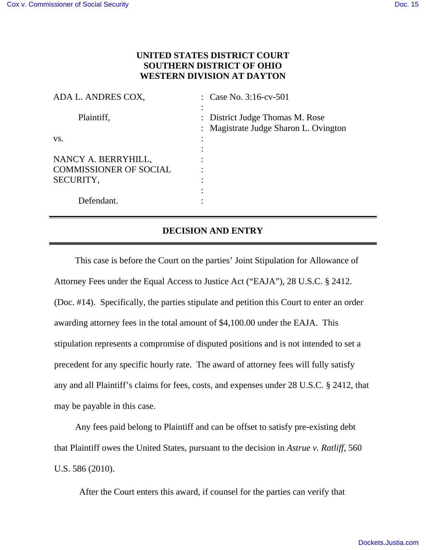## **UNITED STATES DISTRICT COURT SOUTHERN DISTRICT OF OHIO WESTERN DIVISION AT DAYTON**

| ADA L. ANDRES COX,                                   | : Case No. 3:16-cv-501                                                   |
|------------------------------------------------------|--------------------------------------------------------------------------|
| Plaintiff,                                           | : District Judge Thomas M. Rose<br>: Magistrate Judge Sharon L. Ovington |
| VS.                                                  |                                                                          |
| NANCY A. BERRYHILL,<br><b>COMMISSIONER OF SOCIAL</b> |                                                                          |
| SECURITY,                                            |                                                                          |
| Defendant.                                           |                                                                          |
|                                                      |                                                                          |

## **DECISION AND ENTRY**

This case is before the Court on the parties' Joint Stipulation for Allowance of Attorney Fees under the Equal Access to Justice Act ("EAJA"), 28 U.S.C. § 2412. (Doc. #14). Specifically, the parties stipulate and petition this Court to enter an order awarding attorney fees in the total amount of \$4,100.00 under the EAJA. This stipulation represents a compromise of disputed positions and is not intended to set a precedent for any specific hourly rate. The award of attorney fees will fully satisfy any and all Plaintiff's claims for fees, costs, and expenses under 28 U.S.C. § 2412, that may be payable in this case.

Any fees paid belong to Plaintiff and can be offset to satisfy pre-existing debt that Plaintiff owes the United States, pursuant to the decision in *Astrue v. Ratliff*, 560 U.S. 586 (2010).

After the Court enters this award, if counsel for the parties can verify that